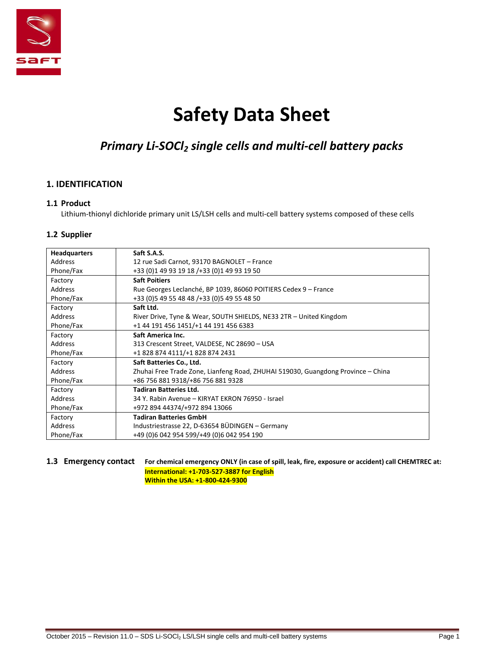

# **Safety Data Sheet**

## *Primary Li-SOCl<sup>2</sup> single cells and multi-cell battery packs*

## **1. IDENTIFICATION**

#### **1.1 Product**

Lithium-thionyl dichloride primary unit LS/LSH cells and multi-cell battery systems composed of these cells

## **1.2 Supplier**

| <b>Headquarters</b> | Saft S.A.S.                                                                      |
|---------------------|----------------------------------------------------------------------------------|
| Address             | 12 rue Sadi Carnot, 93170 BAGNOLET - France                                      |
| Phone/Fax           | +33 (0) 1 49 93 19 18 / + 33 (0) 1 49 93 19 50                                   |
| Factory             | <b>Saft Poitiers</b>                                                             |
| Address             | Rue Georges Leclanché, BP 1039, 86060 POITIERS Cedex 9 - France                  |
| Phone/Fax           | +33 (0) 5 49 55 48 48 / + 33 (0) 5 49 55 48 50                                   |
| Factory             | Saft Ltd.                                                                        |
| <b>Address</b>      | River Drive, Tyne & Wear, SOUTH SHIELDS, NE33 2TR - United Kingdom               |
| Phone/Fax           | +1 44 191 456 1451/+1 44 191 456 6383                                            |
| Factory             | Saft America Inc.                                                                |
| <b>Address</b>      | 313 Crescent Street, VALDESE, NC 28690 - USA                                     |
| Phone/Fax           | +1 828 874 4111/+1 828 874 2431                                                  |
| Factory             | Saft Batteries Co., Ltd.                                                         |
| <b>Address</b>      | Zhuhai Free Trade Zone, Lianfeng Road, ZHUHAI 519030, Guangdong Province – China |
| Phone/Fax           | +86 756 881 9318/+86 756 881 9328                                                |
| Factory             | <b>Tadiran Batteries Ltd.</b>                                                    |
| <b>Address</b>      | 34 Y. Rabin Avenue – KIRYAT EKRON 76950 - Israel                                 |
| Phone/Fax           | +972 894 44374/+972 894 13066                                                    |
| Factory             | <b>Tadiran Batteries GmbH</b>                                                    |
| <b>Address</b>      | Industriestrasse 22, D-63654 BÜDINGEN - Germany                                  |
| Phone/Fax           | +49 (0)6 042 954 599/+49 (0)6 042 954 190                                        |

## **1.3 Emergency contact For chemical emergency ONLY (in case of spill, leak, fire, exposure or accident) call CHEMTREC at: International: +1-703-527-3887 for English**

**Within the USA: +1-800-424-9300**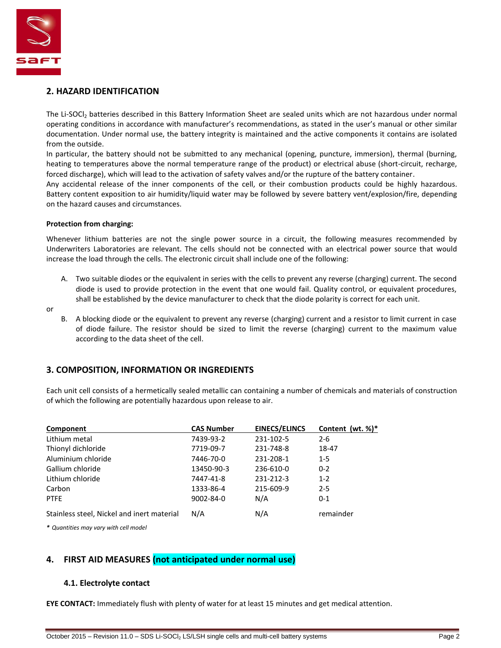

#### **2. HAZARD IDENTIFICATION**

The Li-SOCI<sub>2</sub> batteries described in this Battery Information Sheet are sealed units which are not hazardous under normal operating conditions in accordance with manufacturer's recommendations, as stated in the user's manual or other similar documentation. Under normal use, the battery integrity is maintained and the active components it contains are isolated from the outside.

In particular, the battery should not be submitted to any mechanical (opening, puncture, immersion), thermal (burning, heating to temperatures above the normal temperature range of the product) or electrical abuse (short-circuit, recharge, forced discharge), which will lead to the activation of safety valves and/or the rupture of the battery container.

Any accidental release of the inner components of the cell, or their combustion products could be highly hazardous. Battery content exposition to air humidity/liquid water may be followed by severe battery vent/explosion/fire, depending on the hazard causes and circumstances.

#### **Protection from charging:**

Whenever lithium batteries are not the single power source in a circuit, the following measures recommended by Underwriters Laboratories are relevant. The cells should not be connected with an electrical power source that would increase the load through the cells. The electronic circuit shall include one of the following:

- A. Two suitable diodes or the equivalent in series with the cells to prevent any reverse (charging) current. The second diode is used to provide protection in the event that one would fail. Quality control, or equivalent procedures, shall be established by the device manufacturer to check that the diode polarity is correct for each unit.
- or
- B. A blocking diode or the equivalent to prevent any reverse (charging) current and a resistor to limit current in case of diode failure. The resistor should be sized to limit the reverse (charging) current to the maximum value according to the data sheet of the cell.

## **3. COMPOSITION, INFORMATION OR INGREDIENTS**

Each unit cell consists of a hermetically sealed metallic can containing a number of chemicals and materials of construction of which the following are potentially hazardous upon release to air.

| Component                                  | <b>CAS Number</b> | <b>EINECS/ELINCS</b> | Content (wt. $\%$ )* |
|--------------------------------------------|-------------------|----------------------|----------------------|
| Lithium metal                              | 7439-93-2         | 231-102-5            | $2 - 6$              |
| Thionyl dichloride                         | 7719-09-7         | 231-748-8            | 18-47                |
| Aluminium chloride                         | 7446-70-0         | 231-208-1            | $1 - 5$              |
| Gallium chloride                           | 13450-90-3        | 236-610-0            | $0 - 2$              |
| Lithium chloride                           | 7447-41-8         | 231-212-3            | $1 - 2$              |
| Carbon                                     | 1333-86-4         | 215-609-9            | $2 - 5$              |
| <b>PTFE</b>                                | 9002-84-0         | N/A                  | $0 - 1$              |
| Stainless steel, Nickel and inert material | N/A               | N/A                  | remainder            |

*\* Quantities may vary with cell model*

## **4. FIRST AID MEASURES (not anticipated under normal use)**

#### **4.1. Electrolyte contact**

**EYE CONTACT:** Immediately flush with plenty of water for at least 15 minutes and get medical attention.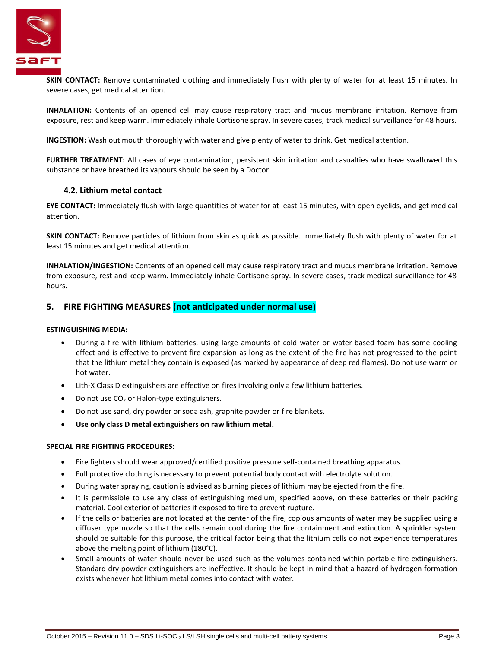

**SKIN CONTACT:** Remove contaminated clothing and immediately flush with plenty of water for at least 15 minutes. In severe cases, get medical attention.

**INHALATION:** Contents of an opened cell may cause respiratory tract and mucus membrane irritation. Remove from exposure, rest and keep warm. Immediately inhale Cortisone spray. In severe cases, track medical surveillance for 48 hours.

**INGESTION:** Wash out mouth thoroughly with water and give plenty of water to drink. Get medical attention.

**FURTHER TREATMENT:** All cases of eye contamination, persistent skin irritation and casualties who have swallowed this substance or have breathed its vapours should be seen by a Doctor.

#### **4.2. Lithium metal contact**

**EYE CONTACT:** Immediately flush with large quantities of water for at least 15 minutes, with open eyelids, and get medical attention.

**SKIN CONTACT:** Remove particles of lithium from skin as quick as possible. Immediately flush with plenty of water for at least 15 minutes and get medical attention.

**INHALATION/INGESTION:** Contents of an opened cell may cause respiratory tract and mucus membrane irritation. Remove from exposure, rest and keep warm. Immediately inhale Cortisone spray. In severe cases, track medical surveillance for 48 hours.

#### **5. FIRE FIGHTING MEASURES (not anticipated under normal use)**

#### **ESTINGUISHING MEDIA:**

- During a fire with lithium batteries, using large amounts of cold water or water-based foam has some cooling effect and is effective to prevent fire expansion as long as the extent of the fire has not progressed to the point that the lithium metal they contain is exposed (as marked by appearance of deep red flames). Do not use warm or hot water.
- Lith-X Class D extinguishers are effective on fires involving only a few lithium batteries.
- $\bullet$  Do not use CO<sub>2</sub> or Halon-type extinguishers.
- Do not use sand, dry powder or soda ash, graphite powder or fire blankets.
- **Use only class D metal extinguishers on raw lithium metal.**

#### **SPECIAL FIRE FIGHTING PROCEDURES:**

- Fire fighters should wear approved/certified positive pressure self-contained breathing apparatus.
- Full protective clothing is necessary to prevent potential body contact with electrolyte solution.
- During water spraying, caution is advised as burning pieces of lithium may be ejected from the fire.
- It is permissible to use any class of extinguishing medium, specified above, on these batteries or their packing material. Cool exterior of batteries if exposed to fire to prevent rupture.
- If the cells or batteries are not located at the center of the fire, copious amounts of water may be supplied using a diffuser type nozzle so that the cells remain cool during the fire containment and extinction. A sprinkler system should be suitable for this purpose, the critical factor being that the lithium cells do not experience temperatures above the melting point of lithium (180°C).
- Small amounts of water should never be used such as the volumes contained within portable fire extinguishers. Standard dry powder extinguishers are ineffective. It should be kept in mind that a hazard of hydrogen formation exists whenever hot lithium metal comes into contact with water.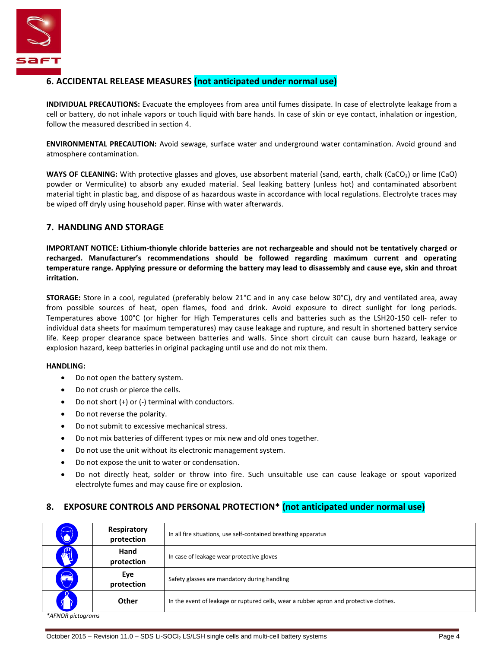

## **6. ACCIDENTAL RELEASE MEASURES (not anticipated under normal use)**

**INDIVIDUAL PRECAUTIONS:** Evacuate the employees from area until fumes dissipate. In case of electrolyte leakage from a cell or battery, do not inhale vapors or touch liquid with bare hands. In case of skin or eye contact, inhalation or ingestion, follow the measured described in section 4.

**ENVIRONMENTAL PRECAUTION:** Avoid sewage, surface water and underground water contamination. Avoid ground and atmosphere contamination.

**WAYS OF CLEANING:** With protective glasses and gloves, use absorbent material (sand, earth, chalk (CaCO<sub>3</sub>) or lime (CaO) powder or Vermiculite) to absorb any exuded material. Seal leaking battery (unless hot) and contaminated absorbent material tight in plastic bag, and dispose of as hazardous waste in accordance with local regulations. Electrolyte traces may be wiped off dryly using household paper. Rinse with water afterwards.

## **7. HANDLING AND STORAGE**

**IMPORTANT NOTICE: Lithium-thionyle chloride batteries are not rechargeable and should not be tentatively charged or recharged. Manufacturer's recommendations should be followed regarding maximum current and operating temperature range. Applying pressure or deforming the battery may lead to disassembly and cause eye, skin and throat irritation.**

**STORAGE:** Store in a cool, regulated (preferably below 21°C and in any case below 30°C), dry and ventilated area, away from possible sources of heat, open flames, food and drink. Avoid exposure to direct sunlight for long periods. Temperatures above 100°C (or higher for High Temperatures cells and batteries such as the LSH20-150 cell- refer to individual data sheets for maximum temperatures) may cause leakage and rupture, and result in shortened battery service life. Keep proper clearance space between batteries and walls. Since short circuit can cause burn hazard, leakage or explosion hazard, keep batteries in original packaging until use and do not mix them.

#### **HANDLING:**

- Do not open the battery system.
- Do not crush or pierce the cells.
- Do not short (+) or (-) terminal with conductors.
- Do not reverse the polarity.
- Do not submit to excessive mechanical stress.
- Do not mix batteries of different types or mix new and old ones together.
- Do not use the unit without its electronic management system.
- Do not expose the unit to water or condensation.
- Do not directly heat, solder or throw into fire. Such unsuitable use can cause leakage or spout vaporized electrolyte fumes and may cause fire or explosion.

## **8. EXPOSURE CONTROLS AND PERSONAL PROTECTION\* (not anticipated under normal use)**

| $\vec{\bullet}$ | Respiratory<br>protection | In all fire situations, use self-contained breathing apparatus                         |
|-----------------|---------------------------|----------------------------------------------------------------------------------------|
|                 | Hand<br>protection        | In case of leakage wear protective gloves                                              |
| 3               | Eye<br>protection         | Safety glasses are mandatory during handling                                           |
|                 | Other                     | In the event of leakage or ruptured cells, wear a rubber apron and protective clothes. |

*\*AFNOR pictograms*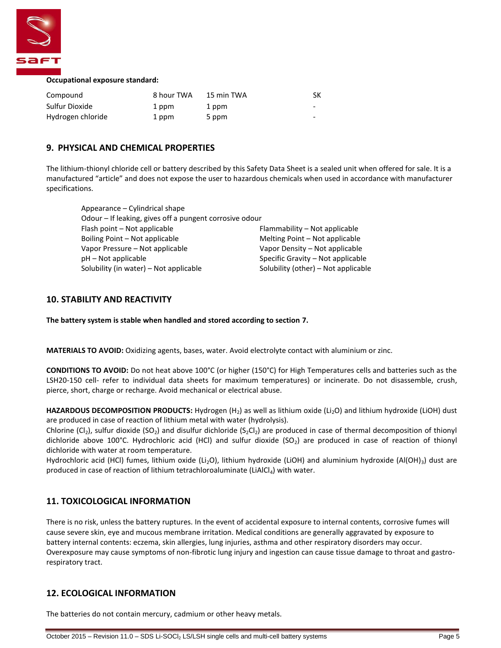

#### **Occupational exposure standard:**

| Compound          | 8 hour TWA | 15 min TWA | SК |
|-------------------|------------|------------|----|
| Sulfur Dioxide    | 1 ppm      | 1 ppm      | -  |
| Hydrogen chloride | 1 ppm      | 5 ppm      | -  |

#### **9. PHYSICAL AND CHEMICAL PROPERTIES**

The lithium-thionyl chloride cell or battery described by this Safety Data Sheet is a sealed unit when offered for sale. It is a manufactured "article" and does not expose the user to hazardous chemicals when used in accordance with manufacturer specifications.

| Odour - If leaking, gives off a pungent corrosive odour |
|---------------------------------------------------------|
| Flammability - Not applicable                           |
| Melting Point – Not applicable                          |
| Vapor Density – Not applicable                          |
| Specific Gravity – Not applicable                       |
| Solubility (other) - Not applicable                     |
|                                                         |

#### **10. STABILITY AND REACTIVITY**

**The battery system is stable when handled and stored according to section 7.**

**MATERIALS TO AVOID:** Oxidizing agents, bases, water. Avoid electrolyte contact with aluminium or zinc.

**CONDITIONS TO AVOID:** Do not heat above 100°C (or higher (150°C) for High Temperatures cells and batteries such as the LSH20-150 cell- refer to individual data sheets for maximum temperatures) or incinerate. Do not disassemble, crush, pierce, short, charge or recharge. Avoid mechanical or electrical abuse.

HAZARDOUS DECOMPOSITION PRODUCTS: Hydrogen (H<sub>2</sub>) as well as lithium oxide (Li<sub>2</sub>O) and lithium hydroxide (LiOH) dust are produced in case of reaction of lithium metal with water (hydrolysis).

Chlorine (Cl<sub>2</sub>), sulfur dioxide (SO<sub>2</sub>) and disulfur dichloride (S<sub>2</sub>Cl<sub>2</sub>) are produced in case of thermal decomposition of thionyl dichloride above 100°C. Hydrochloric acid (HCl) and sulfur dioxide (SO<sub>2</sub>) are produced in case of reaction of thionyl dichloride with water at room temperature.

Hydrochloric acid (HCl) fumes, lithium oxide (Li<sub>2</sub>O), lithium hydroxide (LiOH) and aluminium hydroxide (Al(OH)<sub>3</sub>) dust are produced in case of reaction of lithium tetrachloroaluminate (LiAlCl<sub>4</sub>) with water.

## **11. TOXICOLOGICAL INFORMATION**

There is no risk, unless the battery ruptures. In the event of accidental exposure to internal contents, corrosive fumes will cause severe skin, eye and mucous membrane irritation. Medical conditions are generally aggravated by exposure to battery internal contents: eczema, skin allergies, lung injuries, asthma and other respiratory disorders may occur. Overexposure may cause symptoms of non-fibrotic lung injury and ingestion can cause tissue damage to throat and gastrorespiratory tract.

## **12. ECOLOGICAL INFORMATION**

The batteries do not contain mercury, cadmium or other heavy metals.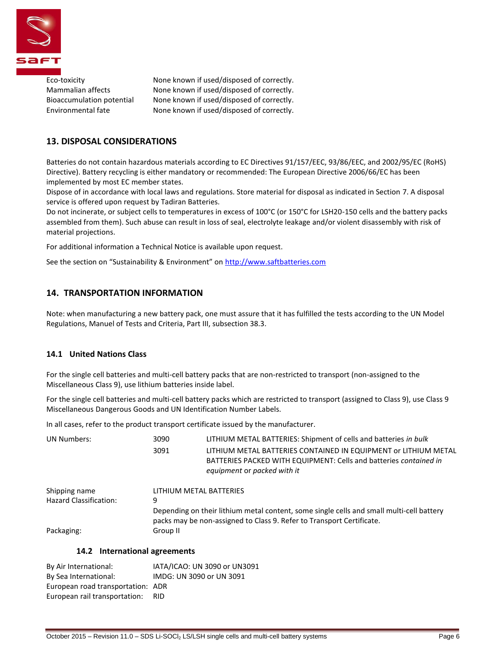

Eco-toxicity None known if used/disposed of correctly. Mammalian affects None known if used/disposed of correctly. Bioaccumulation potential None known if used/disposed of correctly. Environmental fate None known if used/disposed of correctly.

## **13. DISPOSAL CONSIDERATIONS**

Batteries do not contain hazardous materials according to EC Directives 91/157/EEC, 93/86/EEC, and 2002/95/EC (RoHS) Directive). Battery recycling is either mandatory or recommended: The European Directive 2006/66/EC has been implemented by most EC member states.

Dispose of in accordance with local laws and regulations. Store material for disposal as indicated in Section 7. A disposal service is offered upon request by Tadiran Batteries.

Do not incinerate, or subject cells to temperatures in excess of 100°C (or 150°C for LSH20-150 cells and the battery packs assembled from them). Such abuse can result in loss of seal, electrolyte leakage and/or violent disassembly with risk of material projections.

For additional information a Technical Notice is available upon request.

See the section on "Sustainability & Environment" on [http://www.saftbatteries.com](http://www.saftbatteries.com/)

## **14. TRANSPORTATION INFORMATION**

Note: when manufacturing a new battery pack, one must assure that it has fulfilled the tests according to the UN Model Regulations, Manuel of Tests and Criteria, Part III, subsection 38.3.

#### **14.1 United Nations Class**

For the single cell batteries and multi-cell battery packs that are non-restricted to transport (non-assigned to the Miscellaneous Class 9), use lithium batteries inside label.

For the single cell batteries and multi-cell battery packs which are restricted to transport (assigned to Class 9), use Class 9 Miscellaneous Dangerous Goods and UN Identification Number Labels.

In all cases, refer to the product transport certificate issued by the manufacturer.

| <b>UN Numbers:</b>            | 3090                                                                                                                                                              | LITHIUM METAL BATTERIES: Shipment of cells and batteries in bulk                                                                                                    |  |
|-------------------------------|-------------------------------------------------------------------------------------------------------------------------------------------------------------------|---------------------------------------------------------------------------------------------------------------------------------------------------------------------|--|
|                               | 3091                                                                                                                                                              | LITHIUM METAL BATTERIES CONTAINED IN EQUIPMENT or LITHIUM METAL<br>BATTERIES PACKED WITH EQUIPMENT: Cells and batteries contained in<br>equipment or packed with it |  |
| Shipping name                 | LITHIUM METAL BATTERIES                                                                                                                                           |                                                                                                                                                                     |  |
| <b>Hazard Classification:</b> | 9                                                                                                                                                                 |                                                                                                                                                                     |  |
|                               | Depending on their lithium metal content, some single cells and small multi-cell battery<br>packs may be non-assigned to Class 9. Refer to Transport Certificate. |                                                                                                                                                                     |  |
| Packaging:                    | Group II                                                                                                                                                          |                                                                                                                                                                     |  |

## **14.2 International agreements**

| By Air International:             | IATA/ICAO: UN 3090 or UN3091 |
|-----------------------------------|------------------------------|
| By Sea International:             | IMDG: UN 3090 or UN 3091     |
| European road transportation: ADR |                              |
| European rail transportation:     | RID.                         |